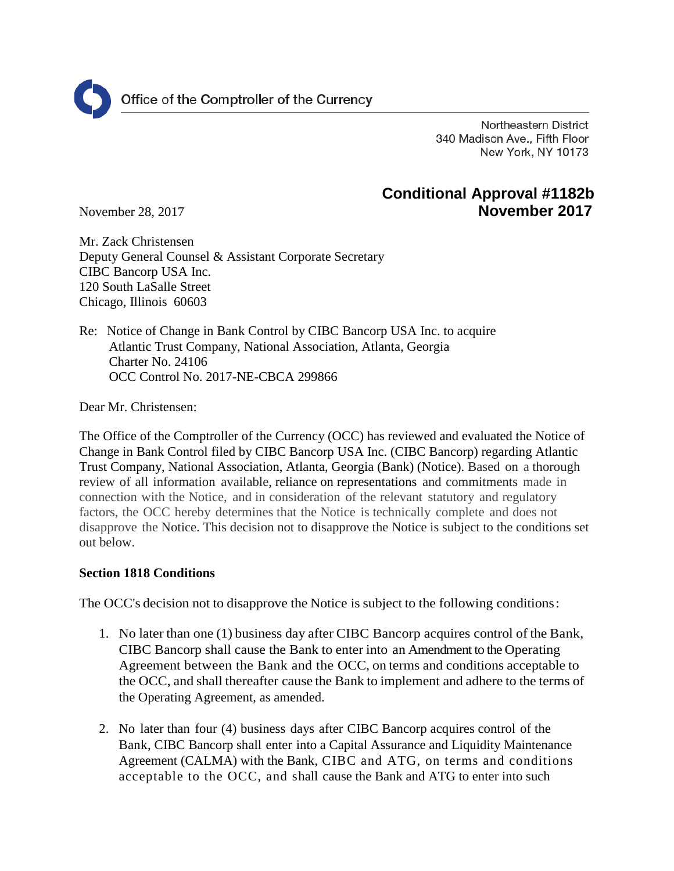

Northeastern District 340 Madison Ave., Fifth Floor New York, NY 10173

# **Conditional Approval #1182b** November 28, 2017 **November 2017**

Mr. Zack Christensen Deputy General Counsel & Assistant Corporate Secretary CIBC Bancorp USA Inc. 120 South LaSalle Street

Re: Notice of Change in Bank Control by CIBC Bancorp USA Inc. to acquire Atlantic Trust Company, National Association, Atlanta, Georgia Charter No. 24106 OCC Control No. 2017-NE-CBCA 299866

Dear Mr. Christensen:

Chicago, Illinois 60603

The Office of the Comptroller of the Currency (OCC) has reviewed and evaluated the Notice of Change in Bank Control filed by CIBC Bancorp USA Inc. (CIBC Bancorp) regarding Atlantic Trust Company, National Association, Atlanta, Georgia (Bank) (Notice). Based on a thorough review of all information available, reliance on representations and commitments made in connection with the Notice, and in consideration of the relevant statutory and regulatory factors, the OCC hereby determines that the Notice is technically complete and does not disapprove the Notice. This decision not to disapprove the Notice is subject to the conditions set out below.

# **Section 1818 Conditions**

The OCC's decision not to disapprove the Notice is subject to the following conditions:

- 1. No later than one (1) business day after CIBC Bancorp acquires control of the Bank, CIBC Bancorp shall cause the Bank to enter into an Amendment to the Operating Agreement between the Bank and the OCC, on terms and conditions acceptable to the OCC, and shall thereafter cause the Bank to implement and adhere to the terms of the Operating Agreement, as amended.
- 2. No later than four (4) business days after CIBC Bancorp acquires control of the Bank, CIBC Bancorp shall enter into a Capital Assurance and Liquidity Maintenance Agreement (CALMA) with the Bank, CIBC and ATG, on terms and conditions acceptable to the OCC, and shall cause the Bank and ATG to enter into such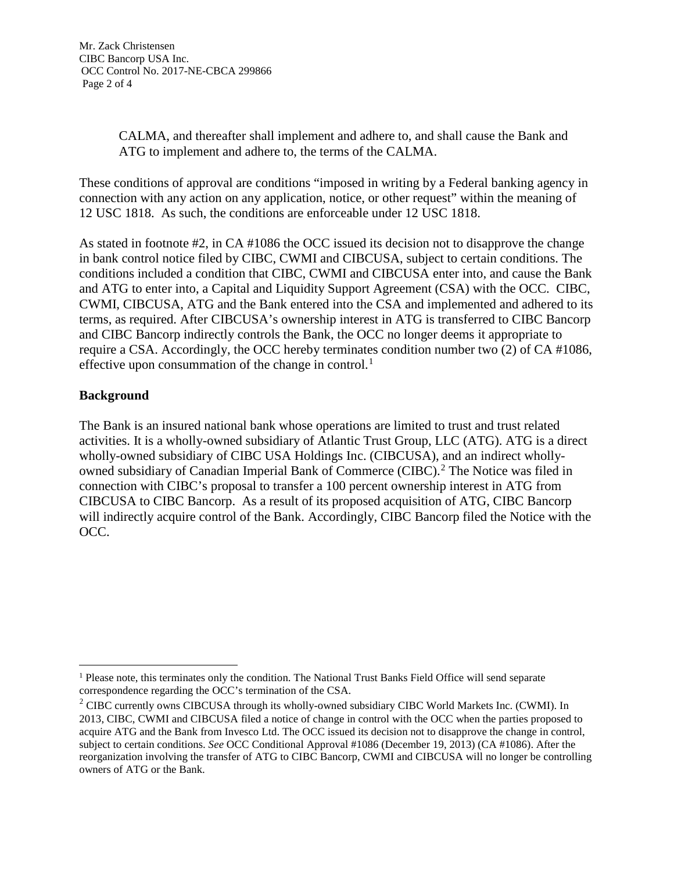CALMA, and thereafter shall implement and adhere to, and shall cause the Bank and ATG to implement and adhere to, the terms of the CALMA.

These conditions of approval are conditions "imposed in writing by a Federal banking agency in connection with any action on any application, notice, or other request" within the meaning of 12 USC 1818. As such, the conditions are enforceable under 12 USC 1818.

As stated in footnote #2, in CA #1086 the OCC issued its decision not to disapprove the change in bank control notice filed by CIBC, CWMI and CIBCUSA, subject to certain conditions. The conditions included a condition that CIBC, CWMI and CIBCUSA enter into, and cause the Bank and ATG to enter into, a Capital and Liquidity Support Agreement (CSA) with the OCC. CIBC, CWMI, CIBCUSA, ATG and the Bank entered into the CSA and implemented and adhered to its terms, as required. After CIBCUSA's ownership interest in ATG is transferred to CIBC Bancorp and CIBC Bancorp indirectly controls the Bank, the OCC no longer deems it appropriate to require a CSA. Accordingly, the OCC hereby terminates condition number two (2) of CA #1086, effective upon consummation of the change in control.<sup>[1](#page-1-0)</sup>

# **Background**

The Bank is an insured national bank whose operations are limited to trust and trust related activities. It is a wholly-owned subsidiary of Atlantic Trust Group, LLC (ATG). ATG is a direct wholly-owned subsidiary of CIBC USA Holdings Inc. (CIBCUSA), and an indirect wholly-owned subsidiary of Canadian Imperial Bank of Commerce (CIBC).<sup>[2](#page-1-1)</sup> The Notice was filed in connection with CIBC's proposal to transfer a 100 percent ownership interest in ATG from CIBCUSA to CIBC Bancorp. As a result of its proposed acquisition of ATG, CIBC Bancorp will indirectly acquire control of the Bank. Accordingly, CIBC Bancorp filed the Notice with the OCC.

<span id="page-1-0"></span><sup>&</sup>lt;sup>1</sup> Please note, this terminates only the condition. The National Trust Banks Field Office will send separate correspondence regarding the OCC's termination of the CSA.

<span id="page-1-1"></span><sup>&</sup>lt;sup>2</sup> CIBC currently owns CIBCUSA through its wholly-owned subsidiary CIBC World Markets Inc. (CWMI). In 2013, CIBC, CWMI and CIBCUSA filed a notice of change in control with the OCC when the parties proposed to acquire ATG and the Bank from Invesco Ltd. The OCC issued its decision not to disapprove the change in control, subject to certain conditions. *See* OCC Conditional Approval #1086 (December 19, 2013) (CA #1086). After the reorganization involving the transfer of ATG to CIBC Bancorp, CWMI and CIBCUSA will no longer be controlling owners of ATG or the Bank.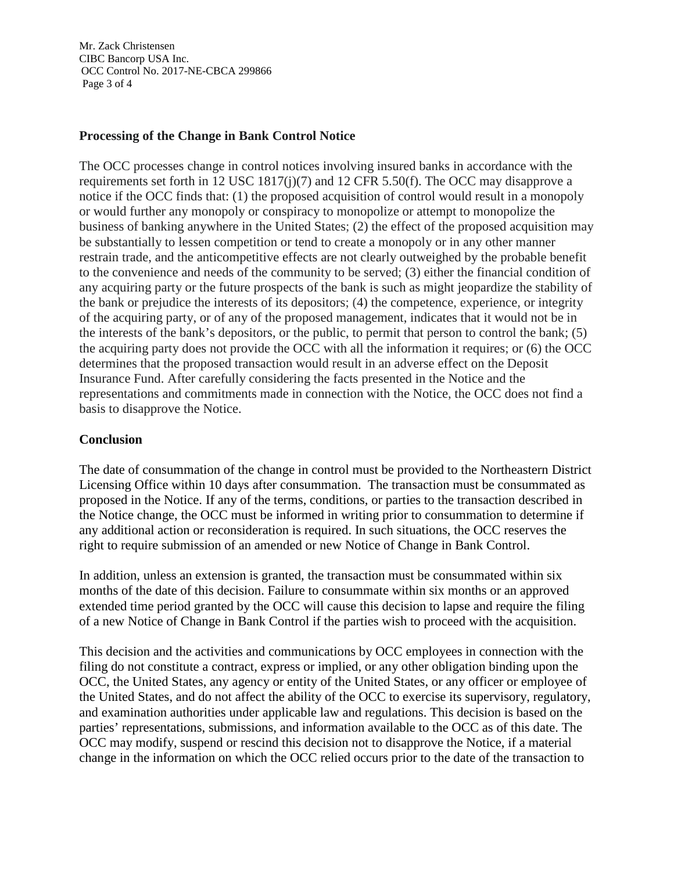Mr. Zack Christensen CIBC Bancorp USA Inc. OCC Control No. 2017-NE-CBCA 299866 Page 3 of 4

### **Processing of the Change in Bank Control Notice**

The OCC processes change in control notices involving insured banks in accordance with the requirements set forth in 12 USC 1817(j)(7) and 12 CFR 5.50(f). The OCC may disapprove a notice if the OCC finds that: (1) the proposed acquisition of control would result in a monopoly or would further any monopoly or conspiracy to monopolize or attempt to monopolize the business of banking anywhere in the United States; (2) the effect of the proposed acquisition may be substantially to lessen competition or tend to create a monopoly or in any other manner restrain trade, and the anticompetitive effects are not clearly outweighed by the probable benefit to the convenience and needs of the community to be served; (3) either the financial condition of any acquiring party or the future prospects of the bank is such as might jeopardize the stability of the bank or prejudice the interests of its depositors; (4) the competence, experience, or integrity of the acquiring party, or of any of the proposed management, indicates that it would not be in the interests of the bank's depositors, or the public, to permit that person to control the bank; (5) the acquiring party does not provide the OCC with all the information it requires; or (6) the OCC determines that the proposed transaction would result in an adverse effect on the Deposit Insurance Fund. After carefully considering the facts presented in the Notice and the representations and commitments made in connection with the Notice, the OCC does not find a basis to disapprove the Notice.

### **Conclusion**

The date of consummation of the change in control must be provided to the Northeastern District Licensing Office within 10 days after consummation. The transaction must be consummated as proposed in the Notice. If any of the terms, conditions, or parties to the transaction described in the Notice change, the OCC must be informed in writing prior to consummation to determine if any additional action or reconsideration is required. In such situations, the OCC reserves the right to require submission of an amended or new Notice of Change in Bank Control.

In addition, unless an extension is granted, the transaction must be consummated within six months of the date of this decision. Failure to consummate within six months or an approved extended time period granted by the OCC will cause this decision to lapse and require the filing of a new Notice of Change in Bank Control if the parties wish to proceed with the acquisition.

This decision and the activities and communications by OCC employees in connection with the filing do not constitute a contract, express or implied, or any other obligation binding upon the OCC, the United States, any agency or entity of the United States, or any officer or employee of the United States, and do not affect the ability of the OCC to exercise its supervisory, regulatory, and examination authorities under applicable law and regulations. This decision is based on the parties' representations, submissions, and information available to the OCC as of this date. The OCC may modify, suspend or rescind this decision not to disapprove the Notice, if a material change in the information on which the OCC relied occurs prior to the date of the transaction to